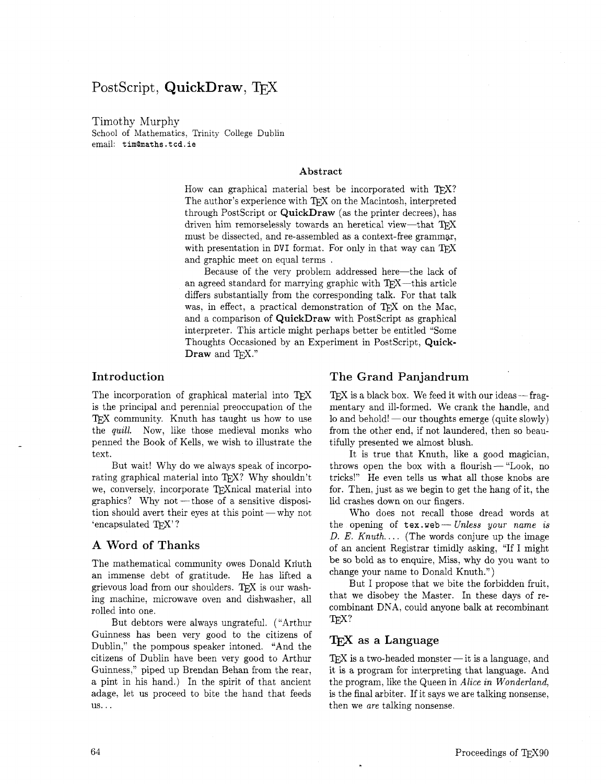# PostScript, **QuickDraw**, **TFX**

Timothy Murphy

School of Mathematics, Trinity College Dublin email: t im0maths . t **cd** . **ie** 

#### **Abstract**

How can graphical material best be incorporated with TFX? The author's experience with TFX on the Macintosh, interpreted through PostScript or **QuickDraw** (as the printer decrees), has driven him remorselessly towards an heretical view-that TEX must be dissected, and re-assembled as a context-free grammar, with presentation in DVI format. For only in that way can  $T_{\text{F}}X$ and graphic meet on equal terms .

Because of the very problem addressed here-the lack of an agreed standard for marrying graphic with  $T_{F}X$ —this article differs substantially from the corresponding talk. For that talk was, in effect, a practical demonstration of  $T_F X$  on the Mac, and a comparison of **QuickDraw** with PostScript as graphical interpreter. This article might perhaps better be entitled "Some Thoughts Occasioned by an Experiment in PostScript, **Quick-Draw** and T<sub>E</sub>X."

## **Introduction**

The incorporation of graphical material into TFX is the principal and perennial preoccupation of the TEX community. Knuth has taught us how to use the quill. Now, like those medieval monks who penned the Book of Kells, we wish to illustrate the text.

But wait! Why do we always speak of incorporating graphical material into TFX? Why shouldn't we, conversely, incorporate TEXnical material into graphics? Why  $not$  - those of a sensitive disposition should avert their eyes at this point —why not 'encapsulated TFX'?

### **A Word of Thanks**

The mathematical community owes Donald Kriuth an immense debt of gratitude. He has lifted a grievous load from our shoulders. TFX is our washing machine, microwave oven and dishwasher, all rolled into one.

But debtors were always ungrateful. ("Arthur Guinness has been very good to the citizens of Dublin," the pompous speaker intoned. "And the citizens of Dublin have been very good to Arthur Guinness," piped up Brendan Behan from the rear, a pint in his hand.) In the spirit of that ancient adage, let us proceed to bite the hand that feeds US.. .

#### **The Grand Panjandrum**

 $Tr X$  is a black box. We feed it with our ideas  $-$  fragmentary and ill-formed. We crank the handle, and lo and behold!  $-$  our thoughts emerge (quite slowly) from the other end, if not laundered, then so beautifully presented we almost blush.

It is true that Knuth, like a good magician, throws open the box with a flourish - "Look, no tricks!" He even tells us what all those knobs are for. Then, just as we begin to get the hang of it, the lid crashes down on our fingers.

Who does not recall those dread words at the opening of **tex. web** - Unless your name is D. E. Knuth.... (The words conjure up the image of an ancient Registrar timidly asking, "If I might be so bold as to enquire, Miss, why do you want to change your name to Donald Knuth.")

But I propose that we bite the forbidden fruit. that we disobey the Master. In these days of recombinant DNA, could anyone balk at recombinant TFX?

## TEX **as a Language**

 $T_{E}X$  is a two-headed monster  $-$  it is a language, and it is a program for interpreting that language. And the program, like the Queen in Alice in Wonderland, is the final arbiter. If it says we are talking nonsense, then we are talking nonsense.